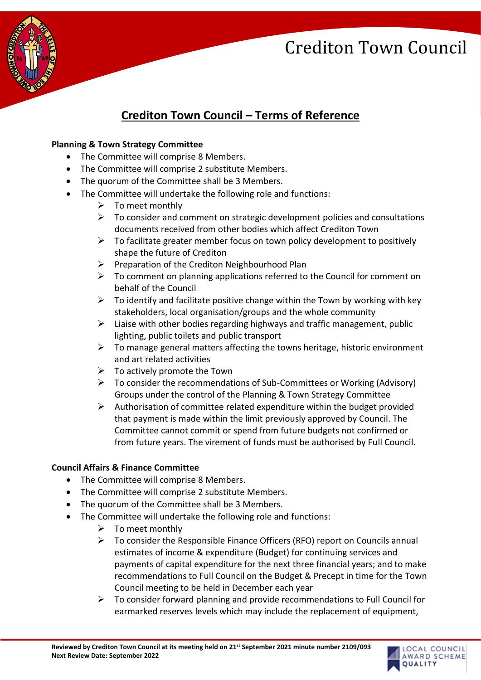

### **Crediton Town Council – Terms of Reference**

#### **Planning & Town Strategy Committee**

- The Committee will comprise 8 Members.
- The Committee will comprise 2 substitute Members.
- The quorum of the Committee shall be 3 Members.
- The Committee will undertake the following role and functions:
	- $\triangleright$  To meet monthly
	- $\triangleright$  To consider and comment on strategic development policies and consultations documents received from other bodies which affect Crediton Town
	- $\triangleright$  To facilitate greater member focus on town policy development to positively shape the future of Crediton
	- ➢ Preparation of the Crediton Neighbourhood Plan
	- $\triangleright$  To comment on planning applications referred to the Council for comment on behalf of the Council
	- $\triangleright$  To identify and facilitate positive change within the Town by working with key stakeholders, local organisation/groups and the whole community
	- $\triangleright$  Liaise with other bodies regarding highways and traffic management, public lighting, public toilets and public transport
	- $\triangleright$  To manage general matters affecting the towns heritage, historic environment and art related activities
	- $\triangleright$  To actively promote the Town
	- ➢ To consider the recommendations of Sub-Committees or Working (Advisory) Groups under the control of the Planning & Town Strategy Committee
	- $\triangleright$  Authorisation of committee related expenditure within the budget provided that payment is made within the limit previously approved by Council. The Committee cannot commit or spend from future budgets not confirmed or from future years. The virement of funds must be authorised by Full Council.

#### **Council Affairs & Finance Committee**

- The Committee will comprise 8 Members.
- The Committee will comprise 2 substitute Members.
- The quorum of the Committee shall be 3 Members.
- The Committee will undertake the following role and functions:
	- $\triangleright$  To meet monthly
	- ➢ To consider the Responsible Finance Officers (RFO) report on Councils annual estimates of income & expenditure (Budget) for continuing services and payments of capital expenditure for the next three financial years; and to make recommendations to Full Council on the Budget & Precept in time for the Town Council meeting to be held in December each year
	- $\triangleright$  To consider forward planning and provide recommendations to Full Council for earmarked reserves levels which may include the replacement of equipment,

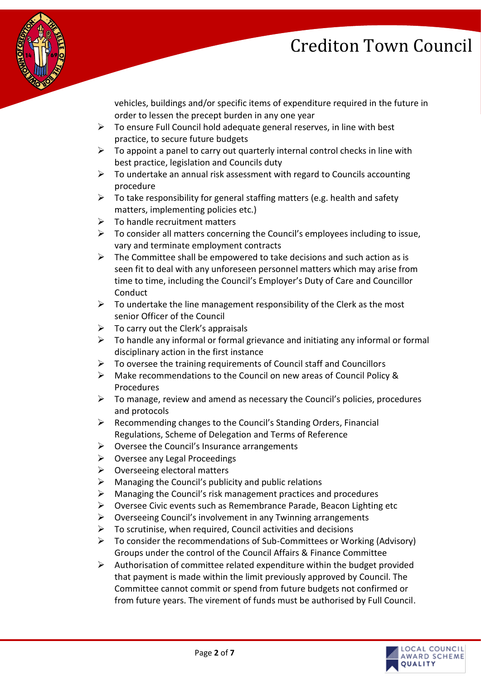

vehicles, buildings and/or specific items of expenditure required in the future in order to lessen the precept burden in any one year

- $\triangleright$  To ensure Full Council hold adequate general reserves, in line with best practice, to secure future budgets
- $\triangleright$  To appoint a panel to carry out quarterly internal control checks in line with best practice, legislation and Councils duty
- $\triangleright$  To undertake an annual risk assessment with regard to Councils accounting procedure
- $\triangleright$  To take responsibility for general staffing matters (e.g. health and safety matters, implementing policies etc.)
- $\triangleright$  To handle recruitment matters
- $\triangleright$  To consider all matters concerning the Council's employees including to issue, vary and terminate employment contracts
- $\triangleright$  The Committee shall be empowered to take decisions and such action as is seen fit to deal with any unforeseen personnel matters which may arise from time to time, including the Council's Employer's Duty of Care and Councillor **Conduct**
- $\triangleright$  To undertake the line management responsibility of the Clerk as the most senior Officer of the Council
- $\triangleright$  To carry out the Clerk's appraisals
- $\triangleright$  To handle any informal or formal grievance and initiating any informal or formal disciplinary action in the first instance
- $\triangleright$  To oversee the training requirements of Council staff and Councillors
- ➢ Make recommendations to the Council on new areas of Council Policy & Procedures
- $\triangleright$  To manage, review and amend as necessary the Council's policies, procedures and protocols
- ➢ Recommending changes to the Council's Standing Orders, Financial Regulations, Scheme of Delegation and Terms of Reference
- $\triangleright$  Oversee the Council's Insurance arrangements
- ➢ Oversee any Legal Proceedings
- $\triangleright$  Overseeing electoral matters
- $\triangleright$  Managing the Council's publicity and public relations
- ➢ Managing the Council's risk management practices and procedures
- ➢ Oversee Civic events such as Remembrance Parade, Beacon Lighting etc
- ➢ Overseeing Council's involvement in any Twinning arrangements
- $\triangleright$  To scrutinise, when required, Council activities and decisions
- $\triangleright$  To consider the recommendations of Sub-Committees or Working (Advisory) Groups under the control of the Council Affairs & Finance Committee
- ➢ Authorisation of committee related expenditure within the budget provided that payment is made within the limit previously approved by Council. The Committee cannot commit or spend from future budgets not confirmed or from future years. The virement of funds must be authorised by Full Council.

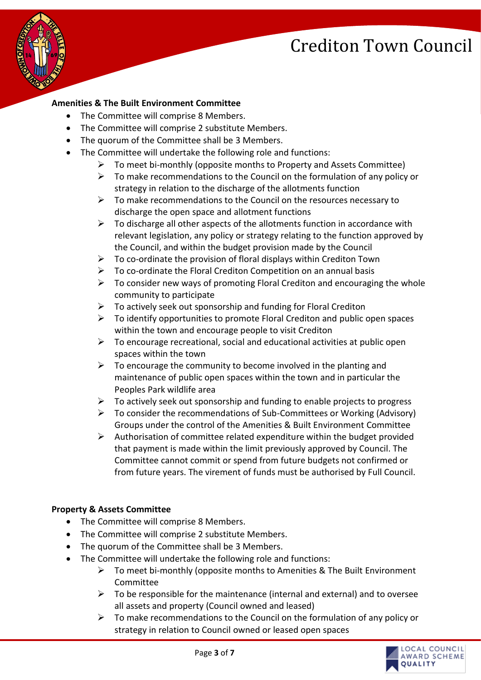

#### **Amenities & The Built Environment Committee**

- The Committee will comprise 8 Members.
- The Committee will comprise 2 substitute Members.
- The quorum of the Committee shall be 3 Members.
- The Committee will undertake the following role and functions:
	- $\triangleright$  To meet bi-monthly (opposite months to Property and Assets Committee)
	- $\triangleright$  To make recommendations to the Council on the formulation of any policy or strategy in relation to the discharge of the allotments function
	- $\triangleright$  To make recommendations to the Council on the resources necessary to discharge the open space and allotment functions
	- $\triangleright$  To discharge all other aspects of the allotments function in accordance with relevant legislation, any policy or strategy relating to the function approved by the Council, and within the budget provision made by the Council
	- $\triangleright$  To co-ordinate the provision of floral displays within Crediton Town
	- $\triangleright$  To co-ordinate the Floral Crediton Competition on an annual basis
	- $\triangleright$  To consider new ways of promoting Floral Crediton and encouraging the whole community to participate
	- $\triangleright$  To actively seek out sponsorship and funding for Floral Crediton
	- $\triangleright$  To identify opportunities to promote Floral Crediton and public open spaces within the town and encourage people to visit Crediton
	- $\triangleright$  To encourage recreational, social and educational activities at public open spaces within the town
	- $\triangleright$  To encourage the community to become involved in the planting and maintenance of public open spaces within the town and in particular the Peoples Park wildlife area
	- $\triangleright$  To actively seek out sponsorship and funding to enable projects to progress
	- $\triangleright$  To consider the recommendations of Sub-Committees or Working (Advisory) Groups under the control of the Amenities & Built Environment Committee
	- $\triangleright$  Authorisation of committee related expenditure within the budget provided that payment is made within the limit previously approved by Council. The Committee cannot commit or spend from future budgets not confirmed or from future years. The virement of funds must be authorised by Full Council.

#### **Property & Assets Committee**

- The Committee will comprise 8 Members.
- The Committee will comprise 2 substitute Members.
- The quorum of the Committee shall be 3 Members.
- The Committee will undertake the following role and functions:
	- $\triangleright$  To meet bi-monthly (opposite months to Amenities & The Built Environment Committee
	- $\triangleright$  To be responsible for the maintenance (internal and external) and to oversee all assets and property (Council owned and leased)
	- $\triangleright$  To make recommendations to the Council on the formulation of any policy or strategy in relation to Council owned or leased open spaces

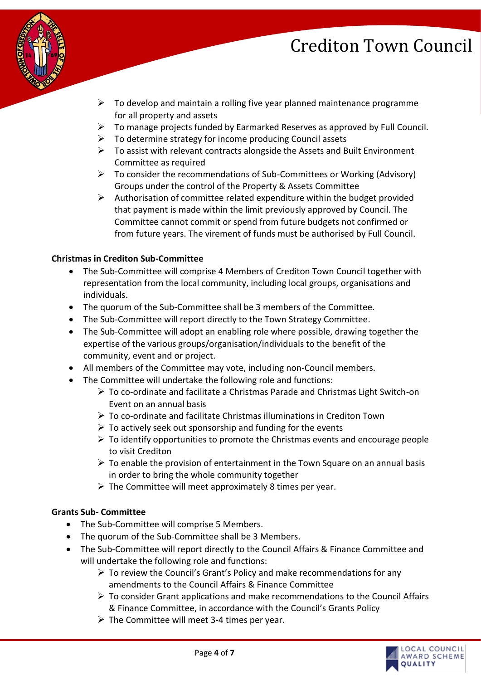

- $\triangleright$  To develop and maintain a rolling five year planned maintenance programme for all property and assets
- $\triangleright$  To manage projects funded by Earmarked Reserves as approved by Full Council.
- $\triangleright$  To determine strategy for income producing Council assets
- ➢ To assist with relevant contracts alongside the Assets and Built Environment Committee as required
- ➢ To consider the recommendations of Sub-Committees or Working (Advisory) Groups under the control of the Property & Assets Committee
- ➢ Authorisation of committee related expenditure within the budget provided that payment is made within the limit previously approved by Council. The Committee cannot commit or spend from future budgets not confirmed or from future years. The virement of funds must be authorised by Full Council.

#### **Christmas in Crediton Sub-Committee**

- The Sub-Committee will comprise 4 Members of Crediton Town Council together with representation from the local community, including local groups, organisations and individuals.
- The quorum of the Sub-Committee shall be 3 members of the Committee.
- The Sub-Committee will report directly to the Town Strategy Committee.
- The Sub-Committee will adopt an enabling role where possible, drawing together the expertise of the various groups/organisation/individuals to the benefit of the community, event and or project.
- All members of the Committee may vote, including non-Council members.
- The Committee will undertake the following role and functions:
	- ➢ To co-ordinate and facilitate a Christmas Parade and Christmas Light Switch-on Event on an annual basis
	- ➢ To co-ordinate and facilitate Christmas illuminations in Crediton Town
	- $\triangleright$  To actively seek out sponsorship and funding for the events
	- $\triangleright$  To identify opportunities to promote the Christmas events and encourage people to visit Crediton
	- $\triangleright$  To enable the provision of entertainment in the Town Square on an annual basis in order to bring the whole community together
	- $\triangleright$  The Committee will meet approximately 8 times per year.

#### **Grants Sub- Committee**

- The Sub-Committee will comprise 5 Members.
- The quorum of the Sub-Committee shall be 3 Members.
- The Sub-Committee will report directly to the Council Affairs & Finance Committee and will undertake the following role and functions:
	- $\triangleright$  To review the Council's Grant's Policy and make recommendations for any amendments to the Council Affairs & Finance Committee
	- ➢ To consider Grant applications and make recommendations to the Council Affairs & Finance Committee, in accordance with the Council's Grants Policy
	- $\triangleright$  The Committee will meet 3-4 times per year.

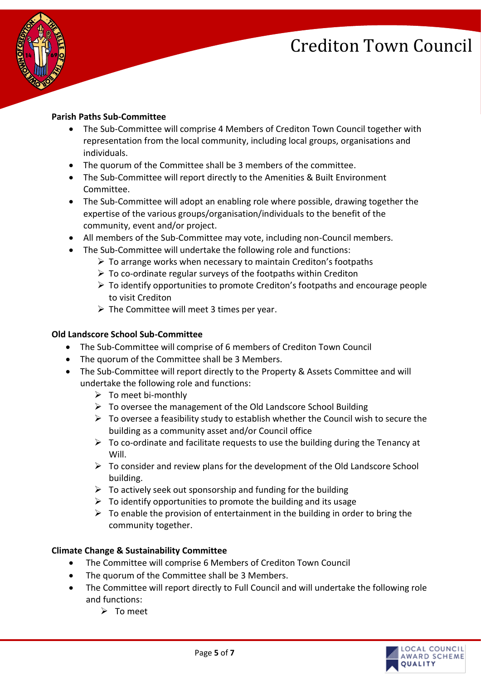

#### **Parish Paths Sub-Committee**

- The Sub-Committee will comprise 4 Members of Crediton Town Council together with representation from the local community, including local groups, organisations and individuals.
- The quorum of the Committee shall be 3 members of the committee.
- The Sub-Committee will report directly to the Amenities & Built Environment Committee.
- The Sub-Committee will adopt an enabling role where possible, drawing together the expertise of the various groups/organisation/individuals to the benefit of the community, event and/or project.
- All members of the Sub-Committee may vote, including non-Council members.
- The Sub-Committee will undertake the following role and functions:
	- ➢ To arrange works when necessary to maintain Crediton's footpaths
	- ➢ To co-ordinate regular surveys of the footpaths within Crediton
	- $\triangleright$  To identify opportunities to promote Crediton's footpaths and encourage people to visit Crediton
	- $\triangleright$  The Committee will meet 3 times per year.

#### **Old Landscore School Sub-Committee**

- The Sub-Committee will comprise of 6 members of Crediton Town Council
- The quorum of the Committee shall be 3 Members.
- The Sub-Committee will report directly to the Property & Assets Committee and will undertake the following role and functions:
	- $\triangleright$  To meet bi-monthly
	- ➢ To oversee the management of the Old Landscore School Building
	- $\triangleright$  To oversee a feasibility study to establish whether the Council wish to secure the building as a community asset and/or Council office
	- $\triangleright$  To co-ordinate and facilitate requests to use the building during the Tenancy at Will.
	- ➢ To consider and review plans for the development of the Old Landscore School building.
	- $\triangleright$  To actively seek out sponsorship and funding for the building
	- $\triangleright$  To identify opportunities to promote the building and its usage
	- $\triangleright$  To enable the provision of entertainment in the building in order to bring the community together.

#### **Climate Change & Sustainability Committee**

- The Committee will comprise 6 Members of Crediton Town Council
- The quorum of the Committee shall be 3 Members.
- The Committee will report directly to Full Council and will undertake the following role and functions:
	- ➢ To meet

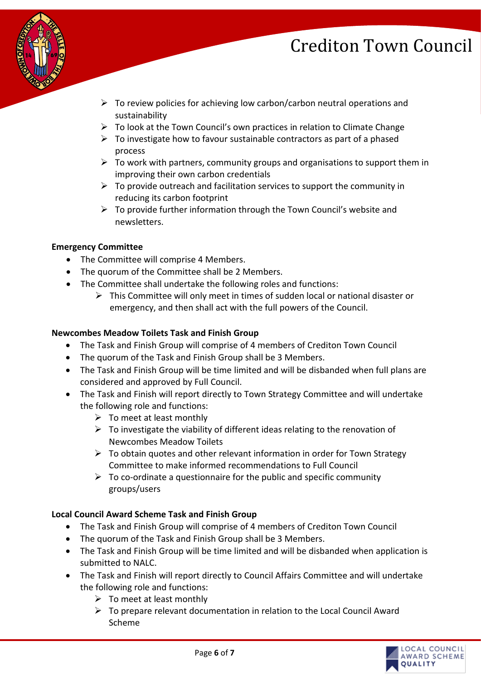

- $\triangleright$  To review policies for achieving low carbon/carbon neutral operations and sustainability
- $\triangleright$  To look at the Town Council's own practices in relation to Climate Change
- $\triangleright$  To investigate how to favour sustainable contractors as part of a phased process
- $\triangleright$  To work with partners, community groups and organisations to support them in improving their own carbon credentials
- $\triangleright$  To provide outreach and facilitation services to support the community in reducing its carbon footprint
- $\triangleright$  To provide further information through the Town Council's website and newsletters.

#### **Emergency Committee**

- The Committee will comprise 4 Members.
- The quorum of the Committee shall be 2 Members.
- The Committee shall undertake the following roles and functions:
	- ➢ This Committee will only meet in times of sudden local or national disaster or emergency, and then shall act with the full powers of the Council.

#### **Newcombes Meadow Toilets Task and Finish Group**

- The Task and Finish Group will comprise of 4 members of Crediton Town Council
- The quorum of the Task and Finish Group shall be 3 Members.
- The Task and Finish Group will be time limited and will be disbanded when full plans are considered and approved by Full Council.
- The Task and Finish will report directly to Town Strategy Committee and will undertake the following role and functions:
	- $\triangleright$  To meet at least monthly
	- $\triangleright$  To investigate the viability of different ideas relating to the renovation of Newcombes Meadow Toilets
	- $\triangleright$  To obtain quotes and other relevant information in order for Town Strategy Committee to make informed recommendations to Full Council
	- $\triangleright$  To co-ordinate a questionnaire for the public and specific community groups/users

#### **Local Council Award Scheme Task and Finish Group**

- The Task and Finish Group will comprise of 4 members of Crediton Town Council
- The quorum of the Task and Finish Group shall be 3 Members.
- The Task and Finish Group will be time limited and will be disbanded when application is submitted to NALC.
- The Task and Finish will report directly to Council Affairs Committee and will undertake the following role and functions:
	- $\triangleright$  To meet at least monthly
	- ➢ To prepare relevant documentation in relation to the Local Council Award Scheme